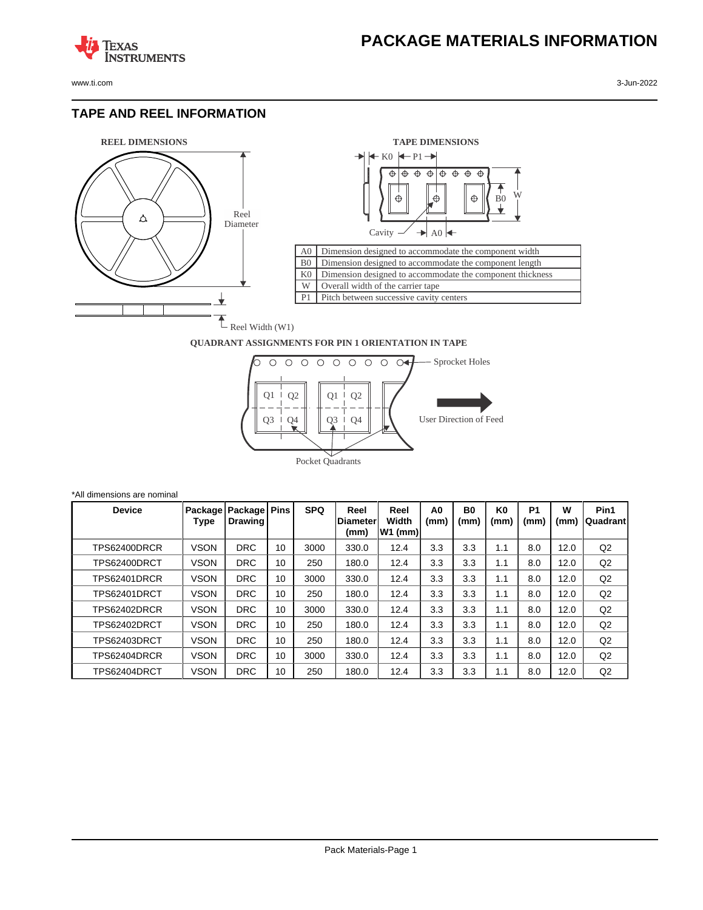www.ti.com 3-Jun-2022

**TEXAS** 

## **TAPE AND REEL INFORMATION**

**ISTRUMENTS** 





## **QUADRANT ASSIGNMENTS FOR PIN 1 ORIENTATION IN TAPE**



| *All dimensions are nominal |               |             |                                     |    |            |                                  |                            |            |            |                        |                        |           |                   |
|-----------------------------|---------------|-------------|-------------------------------------|----|------------|----------------------------------|----------------------------|------------|------------|------------------------|------------------------|-----------|-------------------|
|                             | <b>Device</b> | Type        | Package   Package   Pins<br>Drawing |    | <b>SPQ</b> | Reel<br><b>IDiameter</b><br>(mm) | Reel<br>Width<br>$W1$ (mm) | A0<br>(mm) | B0<br>(mm) | K <sub>0</sub><br>(mm) | P <sub>1</sub><br>(mm) | W<br>(mm) | Pin1<br> Quadrant |
|                             | TPS62400DRCR  | VSON        | <b>DRC</b>                          | 10 | 3000       | 330.0                            | 12.4                       | 3.3        | 3.3        | 1.1                    | 8.0                    | 12.0      | Q2                |
|                             | TPS62400DRCT  | <b>VSON</b> | <b>DRC</b>                          | 10 | 250        | 180.0                            | 12.4                       | 3.3        | 3.3        | 1.1                    | 8.0                    | 12.0      | Q <sub>2</sub>    |
|                             | TPS62401DRCR  | <b>VSON</b> | <b>DRC</b>                          | 10 | 3000       | 330.0                            | 12.4                       | 3.3        | 3.3        | 1.1                    | 8.0                    | 12.0      | Q2                |
|                             | TPS62401DRCT  | <b>VSON</b> | <b>DRC</b>                          | 10 | 250        | 180.0                            | 12.4                       | 3.3        | 3.3        | 1.1                    | 8.0                    | 12.0      | Q2                |
|                             | TPS62402DRCR  | <b>VSON</b> | <b>DRC</b>                          | 10 | 3000       | 330.0                            | 12.4                       | 3.3        | 3.3        | 1.1                    | 8.0                    | 12.0      | Q2                |
|                             | TPS62402DRCT  | <b>VSON</b> | <b>DRC</b>                          | 10 | 250        | 180.0                            | 12.4                       | 3.3        | 3.3        | 1.1                    | 8.0                    | 12.0      | Q2                |
|                             | TPS62403DRCT  | <b>VSON</b> | <b>DRC</b>                          | 10 | 250        | 180.0                            | 12.4                       | 3.3        | 3.3        | 1.1                    | 8.0                    | 12.0      | Q2                |
|                             | TPS62404DRCR  | <b>VSON</b> | <b>DRC</b>                          | 10 | 3000       | 330.0                            | 12.4                       | 3.3        | 3.3        | 1.1                    | 8.0                    | 12.0      | Q2                |
|                             | TPS62404DRCT  | <b>VSON</b> | <b>DRC</b>                          | 10 | 250        | 180.0                            | 12.4                       | 3.3        | 3.3        | 1.1                    | 8.0                    | 12.0      | Q2                |